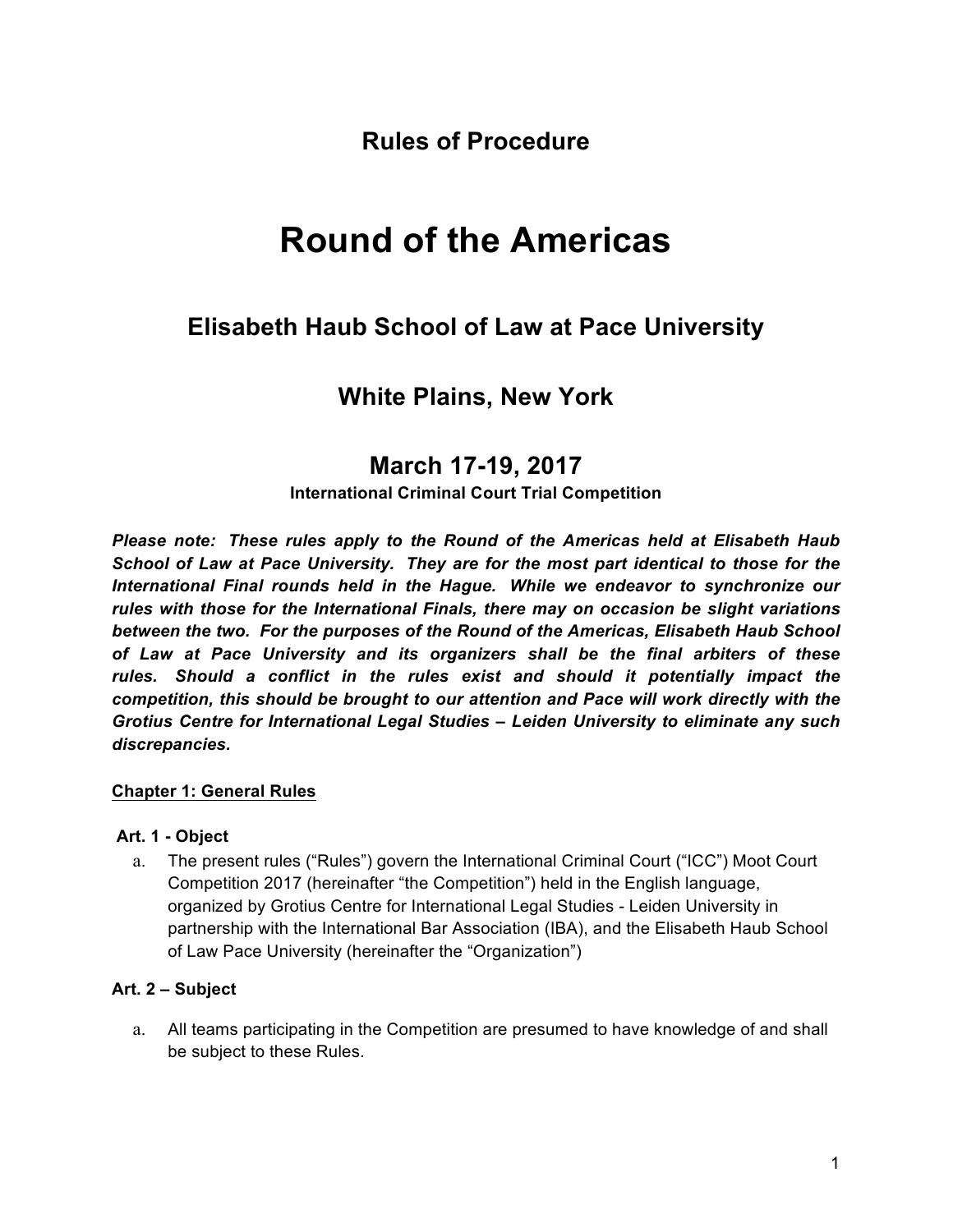**Rules of Procedure**

# **Round of the Americas**

# **Elisabeth Haub School of Law at Pace University**

# **White Plains, New York**

# **March 17-19, 2017**

## **International Criminal Court Trial Competition**

*Please note: These rules apply to the Round of the Americas held at Elisabeth Haub School of Law at Pace University. They are for the most part identical to those for the International Final rounds held in the Hague. While we endeavor to synchronize our rules with those for the International Finals, there may on occasion be slight variations between the two. For the purposes of the Round of the Americas, Elisabeth Haub School of Law at Pace University and its organizers shall be the final arbiters of these rules. Should a conflict in the rules exist and should it potentially impact the competition, this should be brought to our attention and Pace will work directly with the Grotius Centre for International Legal Studies – Leiden University to eliminate any such discrepancies.* 

## **Chapter 1: General Rules**

#### **Art. 1 - Object**

a. The present rules ("Rules") govern the International Criminal Court ("ICC") Moot Court Competition 2017 (hereinafter "the Competition") held in the English language, organized by Grotius Centre for International Legal Studies - Leiden University in partnership with the International Bar Association (IBA), and the Elisabeth Haub School of Law Pace University (hereinafter the "Organization")

## **Art. 2 – Subject**

a. All teams participating in the Competition are presumed to have knowledge of and shall be subject to these Rules.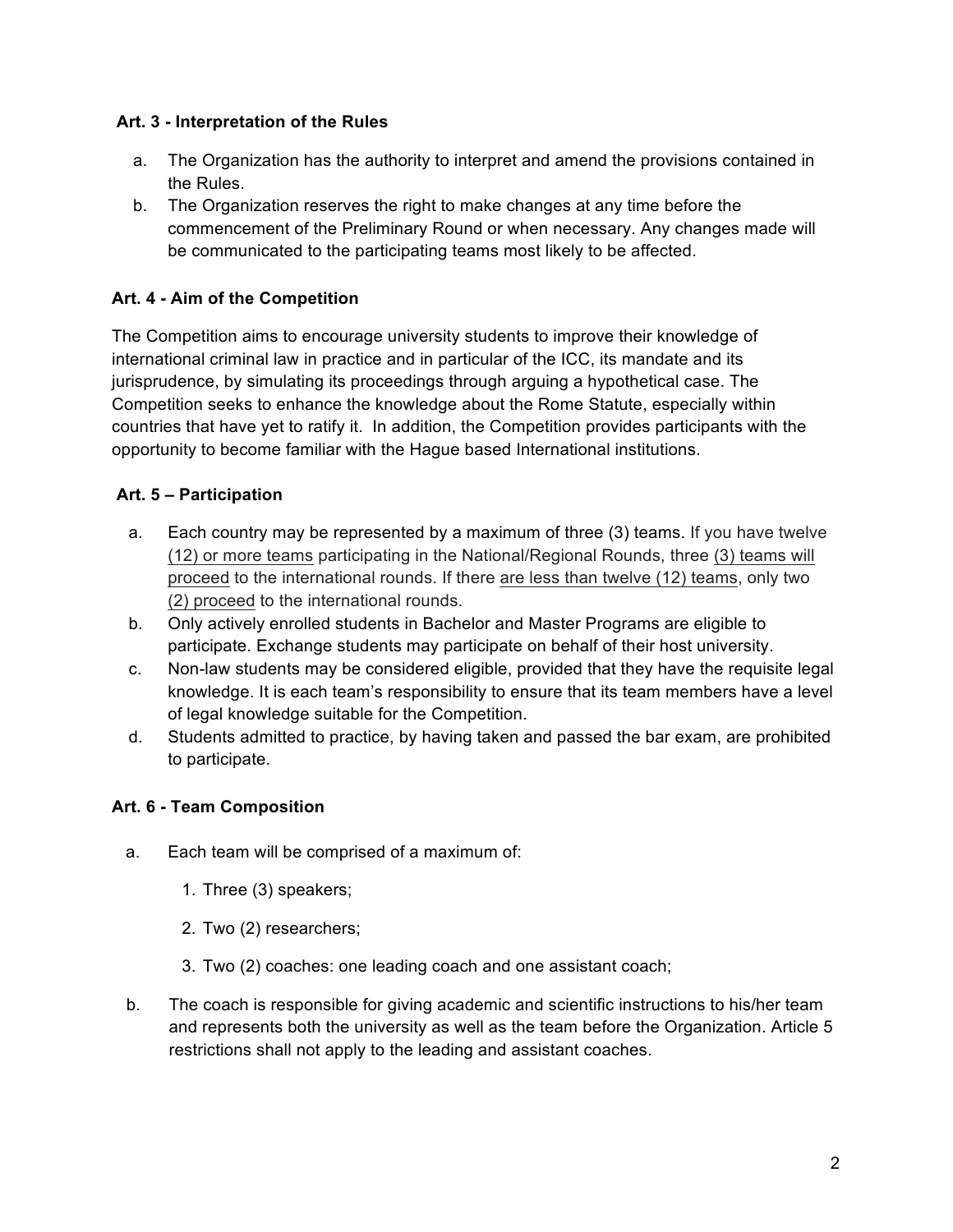#### **Art. 3 - Interpretation of the Rules**

- a. The Organization has the authority to interpret and amend the provisions contained in the Rules.
- b. The Organization reserves the right to make changes at any time before the commencement of the Preliminary Round or when necessary. Any changes made will be communicated to the participating teams most likely to be affected.

## **Art. 4 - Aim of the Competition**

The Competition aims to encourage university students to improve their knowledge of international criminal law in practice and in particular of the ICC, its mandate and its jurisprudence, by simulating its proceedings through arguing a hypothetical case. The Competition seeks to enhance the knowledge about the Rome Statute, especially within countries that have yet to ratify it. In addition, the Competition provides participants with the opportunity to become familiar with the Hague based International institutions.

## **Art. 5 – Participation**

- a. Each country may be represented by a maximum of three (3) teams. If you have twelve (12) or more teams participating in the National/Regional Rounds, three (3) teams will proceed to the international rounds. If there are less than twelve (12) teams, only two (2) proceed to the international rounds.
- b. Only actively enrolled students in Bachelor and Master Programs are eligible to participate. Exchange students may participate on behalf of their host university.
- c. Non-law students may be considered eligible, provided that they have the requisite legal knowledge. It is each team's responsibility to ensure that its team members have a level of legal knowledge suitable for the Competition.
- d. Students admitted to practice, by having taken and passed the bar exam, are prohibited to participate.

## **Art. 6 - Team Composition**

- a. Each team will be comprised of a maximum of:
	- 1. Three (3) speakers;
	- 2. Two (2) researchers;
	- 3. Two (2) coaches: one leading coach and one assistant coach;
- b. The coach is responsible for giving academic and scientific instructions to his/her team and represents both the university as well as the team before the Organization. Article 5 restrictions shall not apply to the leading and assistant coaches.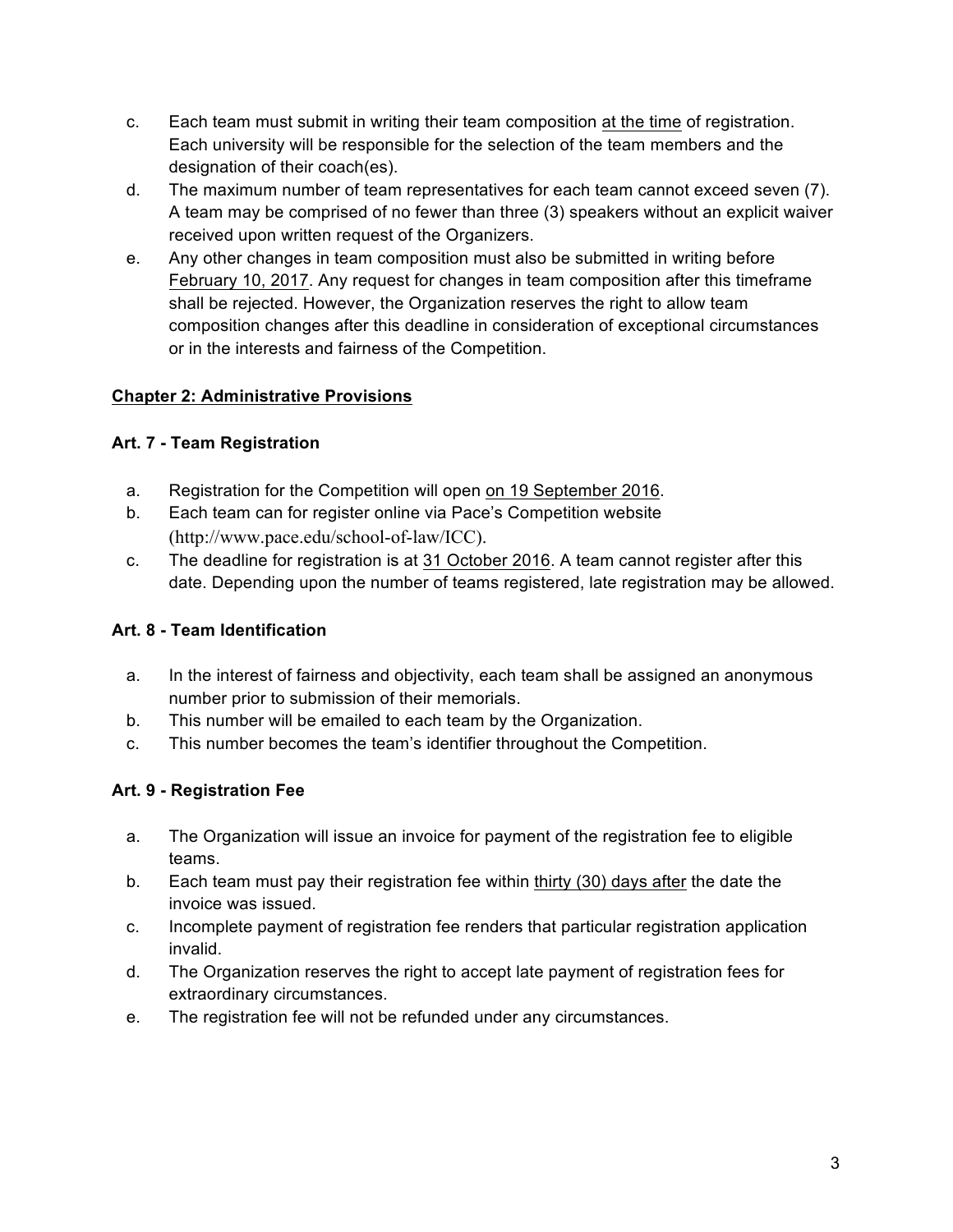- c. Each team must submit in writing their team composition at the time of registration. Each university will be responsible for the selection of the team members and the designation of their coach(es).
- d. The maximum number of team representatives for each team cannot exceed seven (7). A team may be comprised of no fewer than three (3) speakers without an explicit waiver received upon written request of the Organizers.
- e. Any other changes in team composition must also be submitted in writing before February 10, 2017. Any request for changes in team composition after this timeframe shall be rejected. However, the Organization reserves the right to allow team composition changes after this deadline in consideration of exceptional circumstances or in the interests and fairness of the Competition.

## **Chapter 2: Administrative Provisions**

## **Art. 7 - Team Registration**

- a. Registration for the Competition will open on 19 September 2016.
- b. Each team can for register online via Pace's Competition website (http://www.pace.edu/school-of-law/ICC).
- c. The deadline for registration is at 31 October 2016. A team cannot register after this date. Depending upon the number of teams registered, late registration may be allowed.

## **Art. 8 - Team Identification**

- a. In the interest of fairness and objectivity, each team shall be assigned an anonymous number prior to submission of their memorials.
- b. This number will be emailed to each team by the Organization.
- c. This number becomes the team's identifier throughout the Competition.

## **Art. 9 - Registration Fee**

- a. The Organization will issue an invoice for payment of the registration fee to eligible teams.
- b. Each team must pay their registration fee within thirty (30) days after the date the invoice was issued.
- c. Incomplete payment of registration fee renders that particular registration application invalid.
- d. The Organization reserves the right to accept late payment of registration fees for extraordinary circumstances.
- e. The registration fee will not be refunded under any circumstances.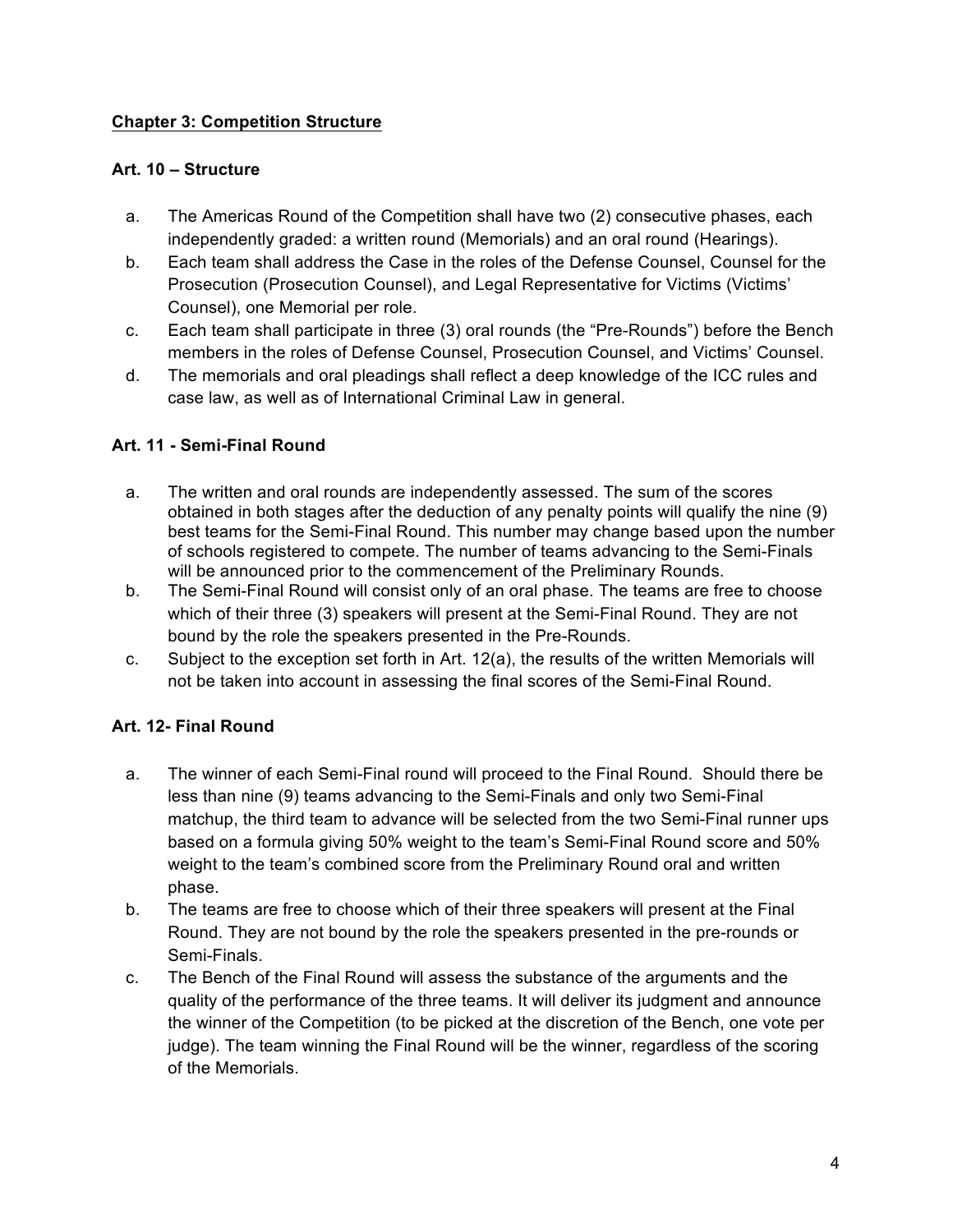#### **Chapter 3: Competition Structure**

#### **Art. 10 – Structure**

- a. The Americas Round of the Competition shall have two (2) consecutive phases, each independently graded: a written round (Memorials) and an oral round (Hearings).
- b. Each team shall address the Case in the roles of the Defense Counsel, Counsel for the Prosecution (Prosecution Counsel), and Legal Representative for Victims (Victims' Counsel), one Memorial per role.
- c. Each team shall participate in three (3) oral rounds (the "Pre-Rounds") before the Bench members in the roles of Defense Counsel, Prosecution Counsel, and Victims' Counsel.
- d. The memorials and oral pleadings shall reflect a deep knowledge of the ICC rules and case law, as well as of International Criminal Law in general.

## **Art. 11 - Semi-Final Round**

- a. The written and oral rounds are independently assessed. The sum of the scores obtained in both stages after the deduction of any penalty points will qualify the nine (9) best teams for the Semi-Final Round. This number may change based upon the number of schools registered to compete. The number of teams advancing to the Semi-Finals will be announced prior to the commencement of the Preliminary Rounds.
- b. The Semi-Final Round will consist only of an oral phase. The teams are free to choose which of their three (3) speakers will present at the Semi-Final Round. They are not bound by the role the speakers presented in the Pre-Rounds.
- c. Subject to the exception set forth in Art. 12(a), the results of the written Memorials will not be taken into account in assessing the final scores of the Semi-Final Round.

## **Art. 12- Final Round**

- a. The winner of each Semi-Final round will proceed to the Final Round. Should there be less than nine (9) teams advancing to the Semi-Finals and only two Semi-Final matchup, the third team to advance will be selected from the two Semi-Final runner ups based on a formula giving 50% weight to the team's Semi-Final Round score and 50% weight to the team's combined score from the Preliminary Round oral and written phase.
- b. The teams are free to choose which of their three speakers will present at the Final Round. They are not bound by the role the speakers presented in the pre-rounds or Semi-Finals.
- c. The Bench of the Final Round will assess the substance of the arguments and the quality of the performance of the three teams. It will deliver its judgment and announce the winner of the Competition (to be picked at the discretion of the Bench, one vote per judge). The team winning the Final Round will be the winner, regardless of the scoring of the Memorials.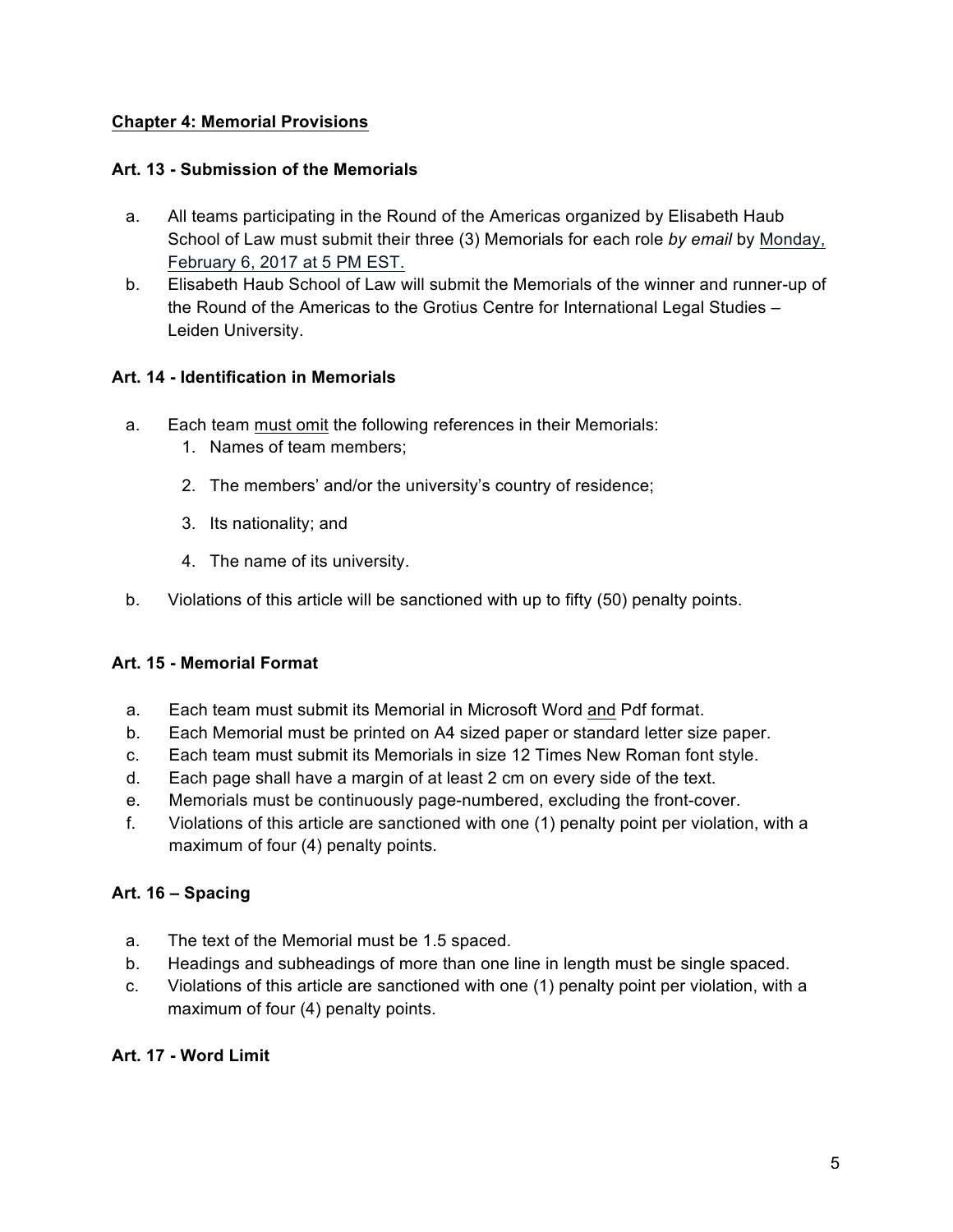## **Chapter 4: Memorial Provisions**

#### **Art. 13 - Submission of the Memorials**

- a. All teams participating in the Round of the Americas organized by Elisabeth Haub School of Law must submit their three (3) Memorials for each role *by email* by Monday, February 6, 2017 at 5 PM EST.
- b. Elisabeth Haub School of Law will submit the Memorials of the winner and runner-up of the Round of the Americas to the Grotius Centre for International Legal Studies – Leiden University.

#### **Art. 14 - Identification in Memorials**

- a. Each team must omit the following references in their Memorials:
	- 1. Names of team members;
	- 2. The members' and/or the university's country of residence;
	- 3. Its nationality; and
	- 4. The name of its university.
- b. Violations of this article will be sanctioned with up to fifty (50) penalty points.

## **Art. 15 - Memorial Format**

- a. Each team must submit its Memorial in Microsoft Word and Pdf format.
- b. Each Memorial must be printed on A4 sized paper or standard letter size paper.
- c. Each team must submit its Memorials in size 12 Times New Roman font style.
- d. Each page shall have a margin of at least 2 cm on every side of the text.
- e. Memorials must be continuously page-numbered, excluding the front-cover.
- f. Violations of this article are sanctioned with one (1) penalty point per violation, with a maximum of four (4) penalty points.

## **Art. 16 – Spacing**

- a. The text of the Memorial must be 1.5 spaced.
- b. Headings and subheadings of more than one line in length must be single spaced.
- c. Violations of this article are sanctioned with one (1) penalty point per violation, with a maximum of four (4) penalty points.

#### **Art. 17 - Word Limit**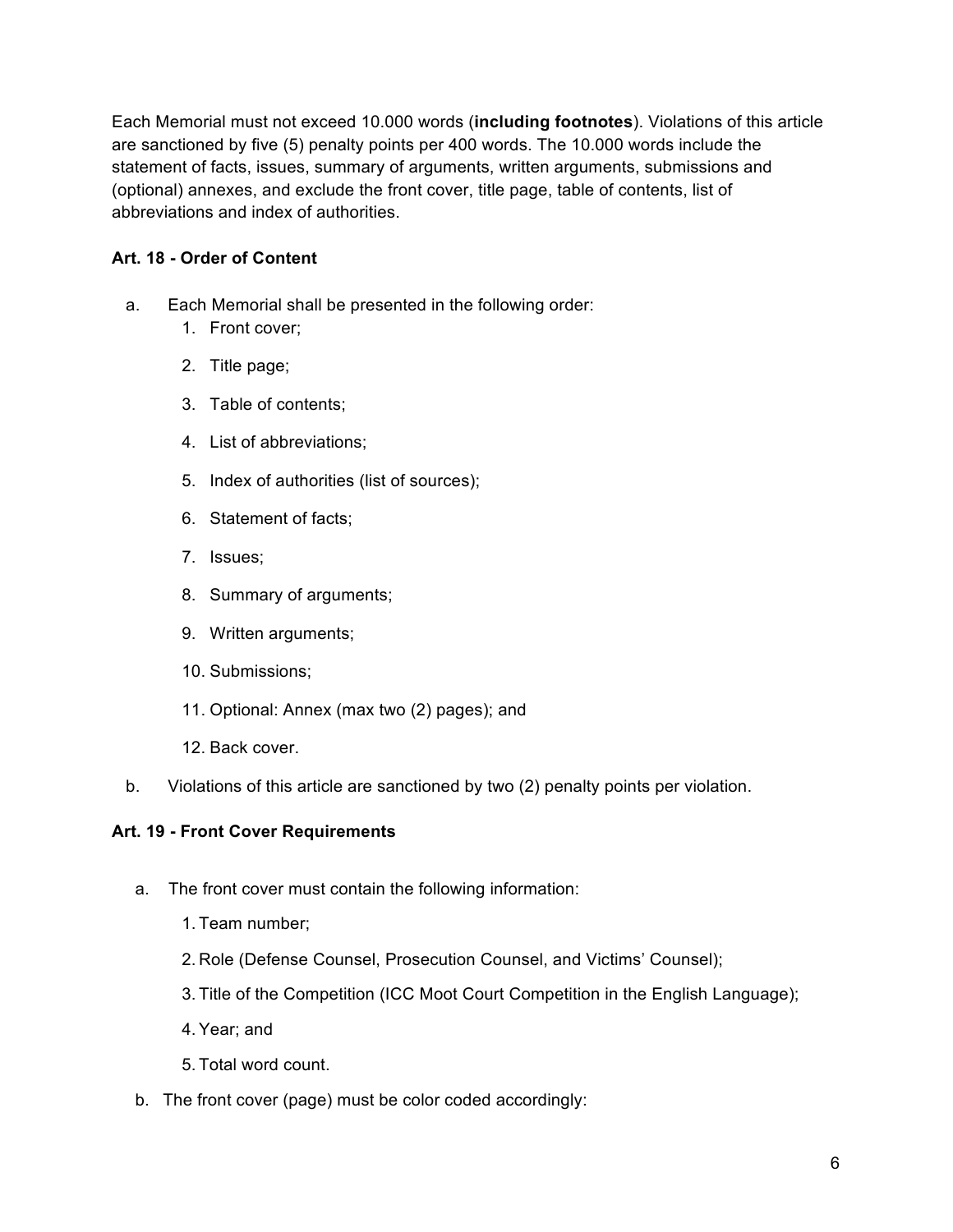Each Memorial must not exceed 10.000 words (**including footnotes**). Violations of this article are sanctioned by five (5) penalty points per 400 words. The 10.000 words include the statement of facts, issues, summary of arguments, written arguments, submissions and (optional) annexes, and exclude the front cover, title page, table of contents, list of abbreviations and index of authorities.

## **Art. 18 - Order of Content**

- a. Each Memorial shall be presented in the following order:
	- 1. Front cover;
	- 2. Title page;
	- 3. Table of contents;
	- 4. List of abbreviations;
	- 5. Index of authorities (list of sources);
	- 6. Statement of facts;
	- 7. Issues;
	- 8. Summary of arguments;
	- 9. Written arguments;
	- 10. Submissions;
	- 11. Optional: Annex (max two (2) pages); and
	- 12. Back cover.
- b. Violations of this article are sanctioned by two (2) penalty points per violation.

## **Art. 19 - Front Cover Requirements**

- a. The front cover must contain the following information:
	- 1. Team number;
	- 2. Role (Defense Counsel, Prosecution Counsel, and Victims' Counsel);
	- 3. Title of the Competition (ICC Moot Court Competition in the English Language);
	- 4. Year; and
	- 5. Total word count.
- b. The front cover (page) must be color coded accordingly: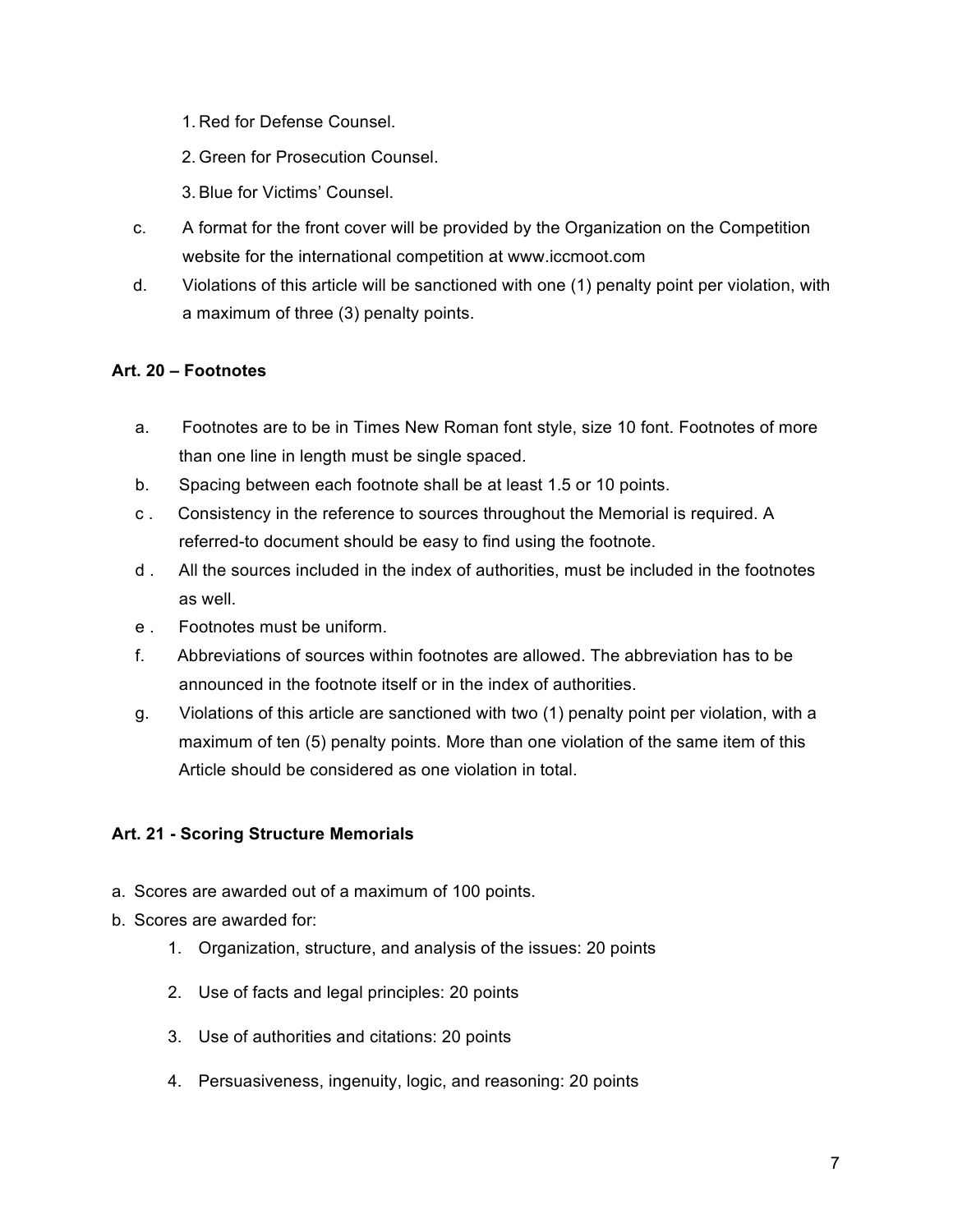- 1. Red for Defense Counsel.
- 2. Green for Prosecution Counsel.
- 3. Blue for Victims' Counsel.
- c. A format for the front cover will be provided by the Organization on the Competition website for the international competition at www.iccmoot.com
- d. Violations of this article will be sanctioned with one (1) penalty point per violation, with a maximum of three (3) penalty points.

#### **Art. 20 – Footnotes**

- a. Footnotes are to be in Times New Roman font style, size 10 font. Footnotes of more than one line in length must be single spaced.
- b. Spacing between each footnote shall be at least 1.5 or 10 points.
- c . Consistency in the reference to sources throughout the Memorial is required. A referred-to document should be easy to find using the footnote.
- d . All the sources included in the index of authorities, must be included in the footnotes as well.
- e . Footnotes must be uniform.
- f. Abbreviations of sources within footnotes are allowed. The abbreviation has to be announced in the footnote itself or in the index of authorities.
- g. Violations of this article are sanctioned with two (1) penalty point per violation, with a maximum of ten (5) penalty points. More than one violation of the same item of this Article should be considered as one violation in total.

## **Art. 21 - Scoring Structure Memorials**

- a. Scores are awarded out of a maximum of 100 points.
- b. Scores are awarded for:
	- 1. Organization, structure, and analysis of the issues: 20 points
	- 2. Use of facts and legal principles: 20 points
	- 3. Use of authorities and citations: 20 points
	- 4. Persuasiveness, ingenuity, logic, and reasoning: 20 points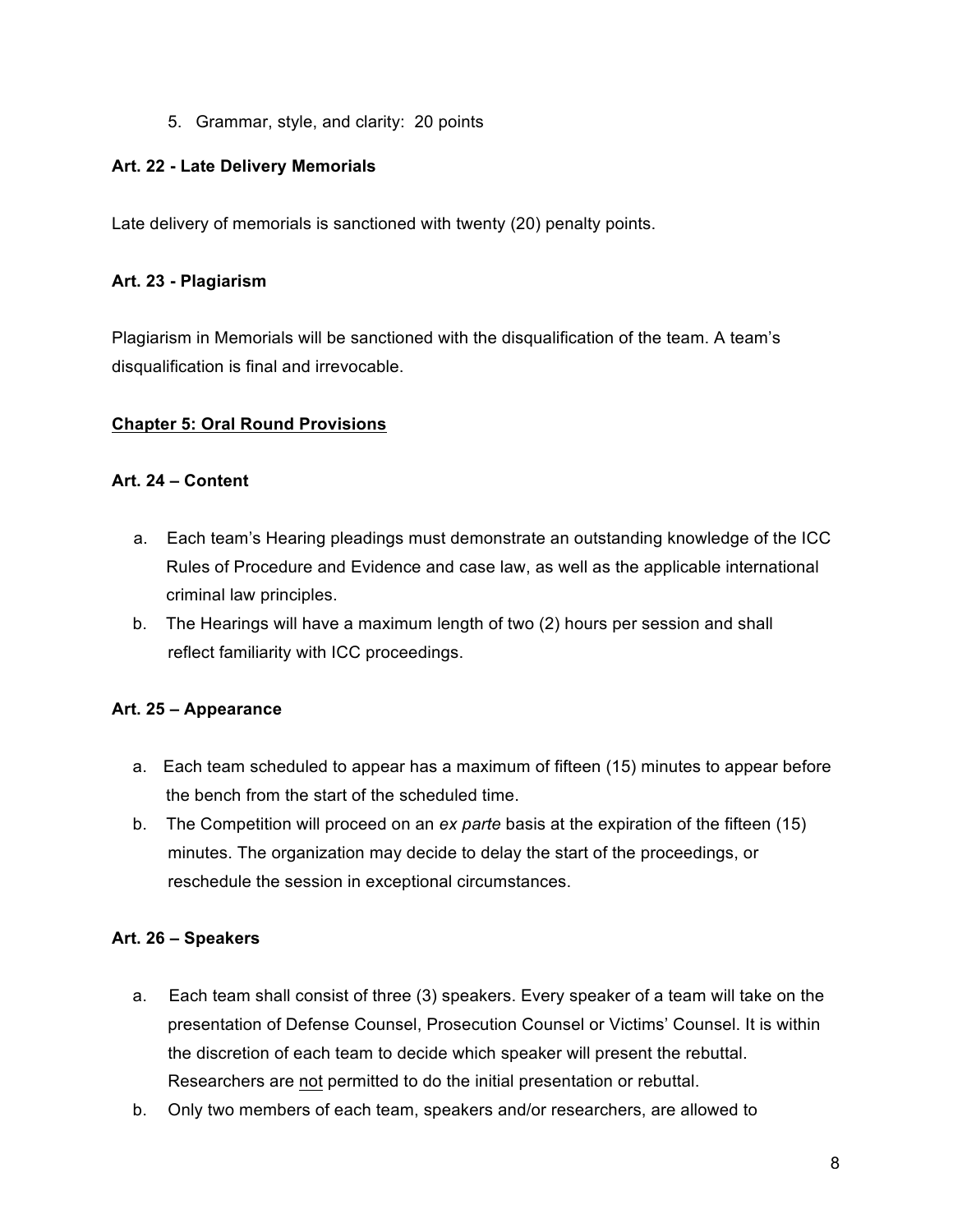5. Grammar, style, and clarity: 20 points

#### **Art. 22 - Late Delivery Memorials**

Late delivery of memorials is sanctioned with twenty (20) penalty points.

#### **Art. 23 - Plagiarism**

Plagiarism in Memorials will be sanctioned with the disqualification of the team. A team's disqualification is final and irrevocable.

#### **Chapter 5: Oral Round Provisions**

#### **Art. 24 – Content**

- a. Each team's Hearing pleadings must demonstrate an outstanding knowledge of the ICC Rules of Procedure and Evidence and case law, as well as the applicable international criminal law principles.
- b. The Hearings will have a maximum length of two (2) hours per session and shall reflect familiarity with ICC proceedings.

#### **Art. 25 – Appearance**

- a. Each team scheduled to appear has a maximum of fifteen (15) minutes to appear before the bench from the start of the scheduled time.
- b. The Competition will proceed on an *ex parte* basis at the expiration of the fifteen (15) minutes. The organization may decide to delay the start of the proceedings, or reschedule the session in exceptional circumstances.

#### **Art. 26 – Speakers**

- a. Each team shall consist of three (3) speakers. Every speaker of a team will take on the presentation of Defense Counsel, Prosecution Counsel or Victims' Counsel. It is within the discretion of each team to decide which speaker will present the rebuttal. Researchers are not permitted to do the initial presentation or rebuttal.
- b. Only two members of each team, speakers and/or researchers, are allowed to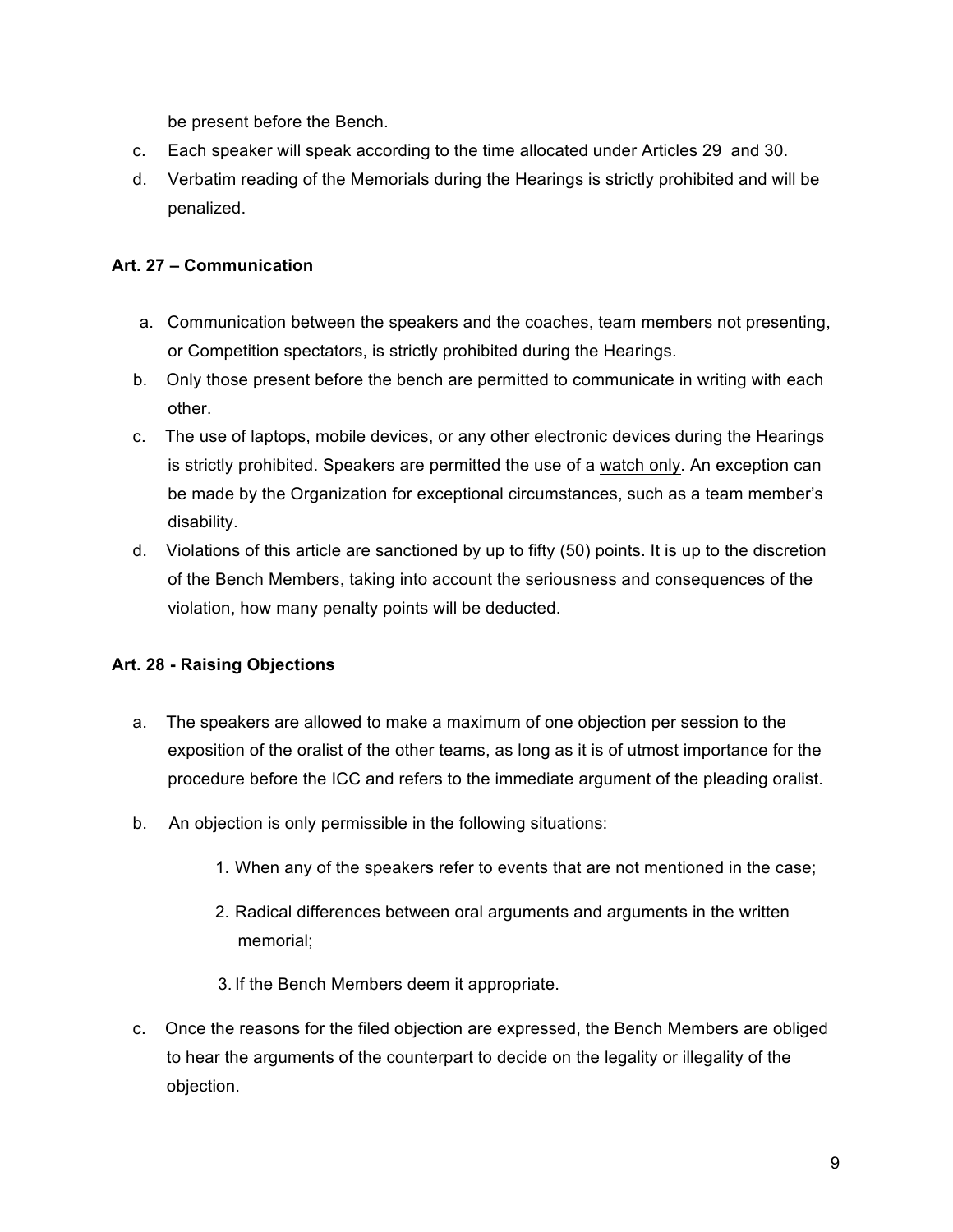be present before the Bench.

- c. Each speaker will speak according to the time allocated under Articles 29 and 30.
- d. Verbatim reading of the Memorials during the Hearings is strictly prohibited and will be penalized.

#### **Art. 27 – Communication**

- a. Communication between the speakers and the coaches, team members not presenting, or Competition spectators, is strictly prohibited during the Hearings.
- b. Only those present before the bench are permitted to communicate in writing with each other.
- c. The use of laptops, mobile devices, or any other electronic devices during the Hearings is strictly prohibited. Speakers are permitted the use of a watch only. An exception can be made by the Organization for exceptional circumstances, such as a team member's disability.
- d. Violations of this article are sanctioned by up to fifty (50) points. It is up to the discretion of the Bench Members, taking into account the seriousness and consequences of the violation, how many penalty points will be deducted.

## **Art. 28 - Raising Objections**

- a. The speakers are allowed to make a maximum of one objection per session to the exposition of the oralist of the other teams, as long as it is of utmost importance for the procedure before the ICC and refers to the immediate argument of the pleading oralist.
- b. An objection is only permissible in the following situations:
	- 1. When any of the speakers refer to events that are not mentioned in the case;
	- 2. Radical differences between oral arguments and arguments in the written memorial;
	- 3. If the Bench Members deem it appropriate.
- c. Once the reasons for the filed objection are expressed, the Bench Members are obliged to hear the arguments of the counterpart to decide on the legality or illegality of the objection.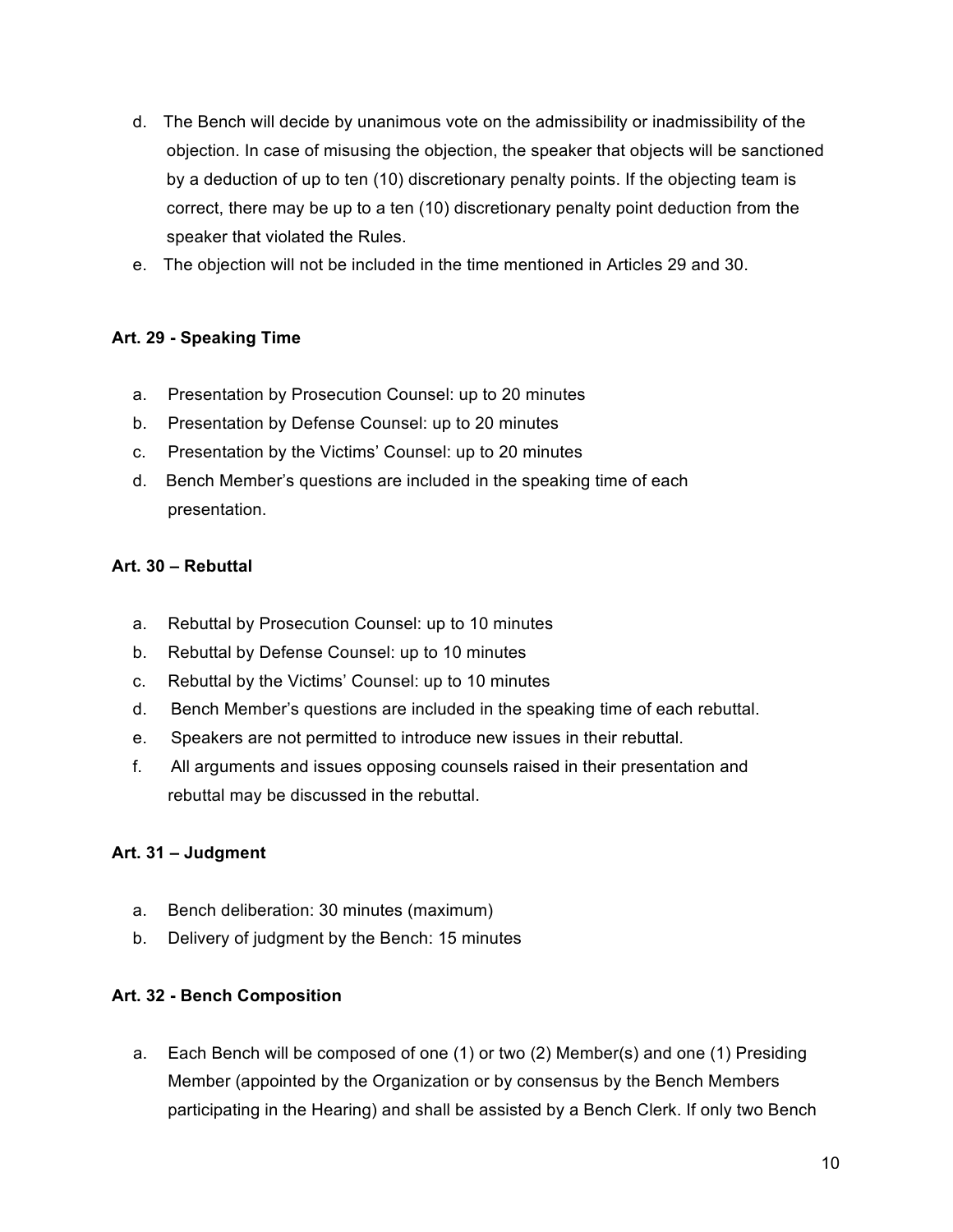- d. The Bench will decide by unanimous vote on the admissibility or inadmissibility of the objection. In case of misusing the objection, the speaker that objects will be sanctioned by a deduction of up to ten (10) discretionary penalty points. If the objecting team is correct, there may be up to a ten (10) discretionary penalty point deduction from the speaker that violated the Rules.
- e. The objection will not be included in the time mentioned in Articles 29 and 30.

## **Art. 29 - Speaking Time**

- a. Presentation by Prosecution Counsel: up to 20 minutes
- b. Presentation by Defense Counsel: up to 20 minutes
- c. Presentation by the Victims' Counsel: up to 20 minutes
- d. Bench Member's questions are included in the speaking time of each presentation.

#### **Art. 30 – Rebuttal**

- a. Rebuttal by Prosecution Counsel: up to 10 minutes
- b. Rebuttal by Defense Counsel: up to 10 minutes
- c. Rebuttal by the Victims' Counsel: up to 10 minutes
- d. Bench Member's questions are included in the speaking time of each rebuttal.
- e. Speakers are not permitted to introduce new issues in their rebuttal.
- f. All arguments and issues opposing counsels raised in their presentation and rebuttal may be discussed in the rebuttal.

## **Art. 31 – Judgment**

- a. Bench deliberation: 30 minutes (maximum)
- b. Delivery of judgment by the Bench: 15 minutes

## **Art. 32 - Bench Composition**

a. Each Bench will be composed of one (1) or two (2) Member(s) and one (1) Presiding Member (appointed by the Organization or by consensus by the Bench Members participating in the Hearing) and shall be assisted by a Bench Clerk. If only two Bench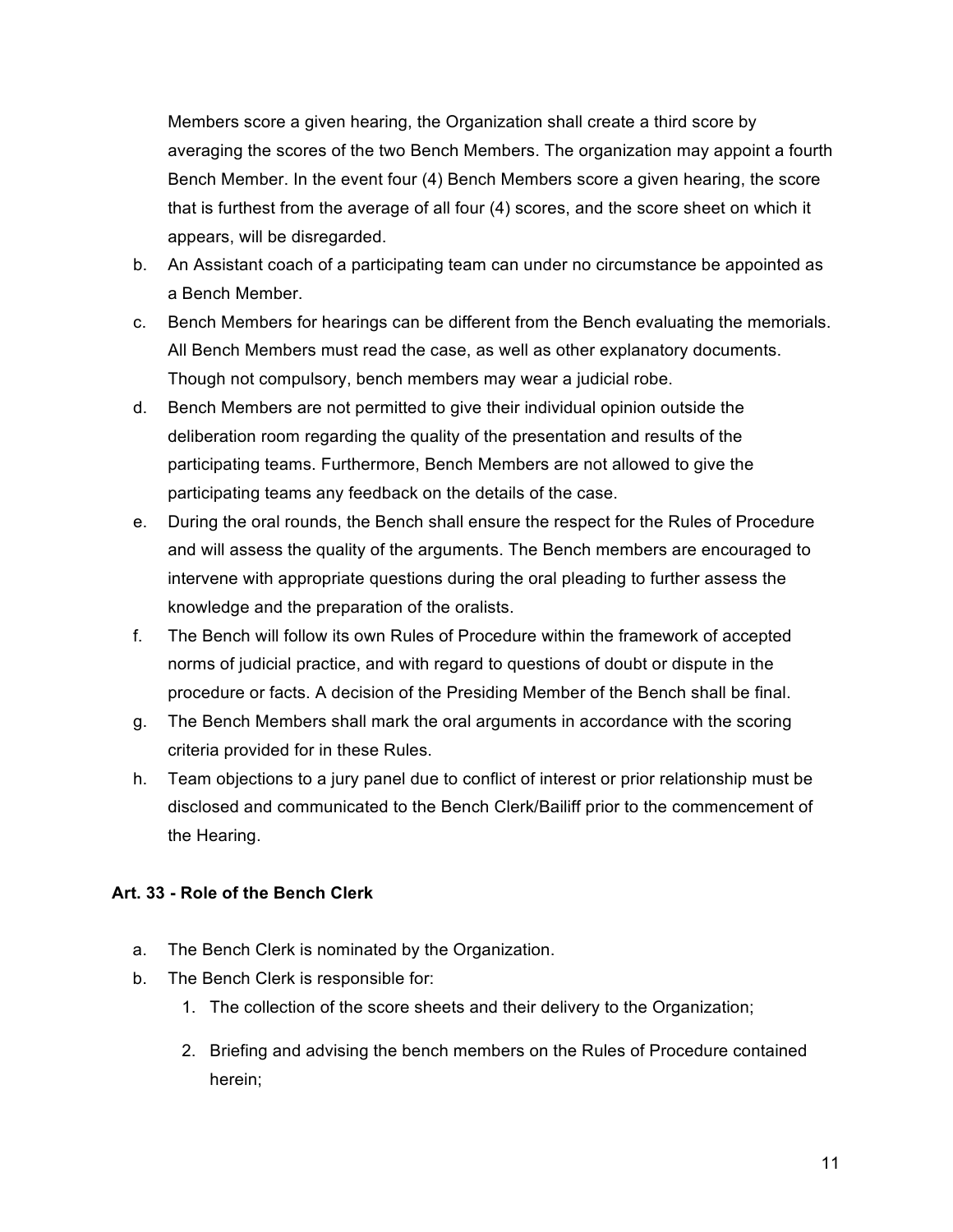Members score a given hearing, the Organization shall create a third score by averaging the scores of the two Bench Members. The organization may appoint a fourth Bench Member. In the event four (4) Bench Members score a given hearing, the score that is furthest from the average of all four (4) scores, and the score sheet on which it appears, will be disregarded.

- b. An Assistant coach of a participating team can under no circumstance be appointed as a Bench Member.
- c. Bench Members for hearings can be different from the Bench evaluating the memorials. All Bench Members must read the case, as well as other explanatory documents. Though not compulsory, bench members may wear a judicial robe.
- d. Bench Members are not permitted to give their individual opinion outside the deliberation room regarding the quality of the presentation and results of the participating teams. Furthermore, Bench Members are not allowed to give the participating teams any feedback on the details of the case.
- e. During the oral rounds, the Bench shall ensure the respect for the Rules of Procedure and will assess the quality of the arguments. The Bench members are encouraged to intervene with appropriate questions during the oral pleading to further assess the knowledge and the preparation of the oralists.
- f. The Bench will follow its own Rules of Procedure within the framework of accepted norms of judicial practice, and with regard to questions of doubt or dispute in the procedure or facts. A decision of the Presiding Member of the Bench shall be final.
- g. The Bench Members shall mark the oral arguments in accordance with the scoring criteria provided for in these Rules.
- h. Team objections to a jury panel due to conflict of interest or prior relationship must be disclosed and communicated to the Bench Clerk/Bailiff prior to the commencement of the Hearing.

## **Art. 33 - Role of the Bench Clerk**

- a. The Bench Clerk is nominated by the Organization.
- b. The Bench Clerk is responsible for:
	- 1. The collection of the score sheets and their delivery to the Organization;
	- 2. Briefing and advising the bench members on the Rules of Procedure contained herein;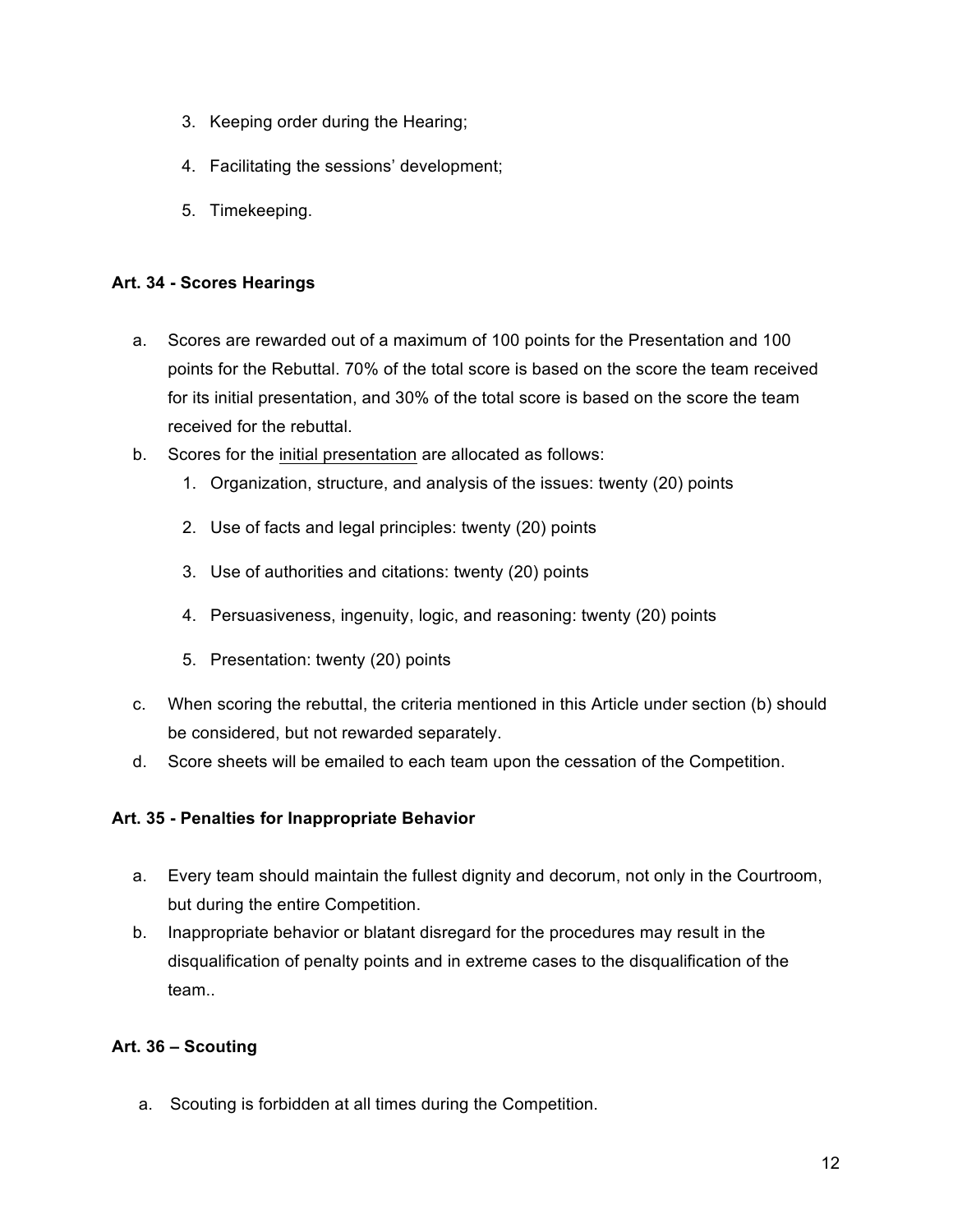- 3. Keeping order during the Hearing;
- 4. Facilitating the sessions' development;
- 5. Timekeeping.

#### **Art. 34 - Scores Hearings**

- a. Scores are rewarded out of a maximum of 100 points for the Presentation and 100 points for the Rebuttal. 70% of the total score is based on the score the team received for its initial presentation, and 30% of the total score is based on the score the team received for the rebuttal.
- b. Scores for the initial presentation are allocated as follows:
	- 1. Organization, structure, and analysis of the issues: twenty (20) points
	- 2. Use of facts and legal principles: twenty (20) points
	- 3. Use of authorities and citations: twenty (20) points
	- 4. Persuasiveness, ingenuity, logic, and reasoning: twenty (20) points
	- 5. Presentation: twenty (20) points
- c. When scoring the rebuttal, the criteria mentioned in this Article under section (b) should be considered, but not rewarded separately.
- d. Score sheets will be emailed to each team upon the cessation of the Competition.

#### **Art. 35 - Penalties for Inappropriate Behavior**

- a. Every team should maintain the fullest dignity and decorum, not only in the Courtroom, but during the entire Competition.
- b. Inappropriate behavior or blatant disregard for the procedures may result in the disqualification of penalty points and in extreme cases to the disqualification of the team..

## **Art. 36 – Scouting**

a. Scouting is forbidden at all times during the Competition.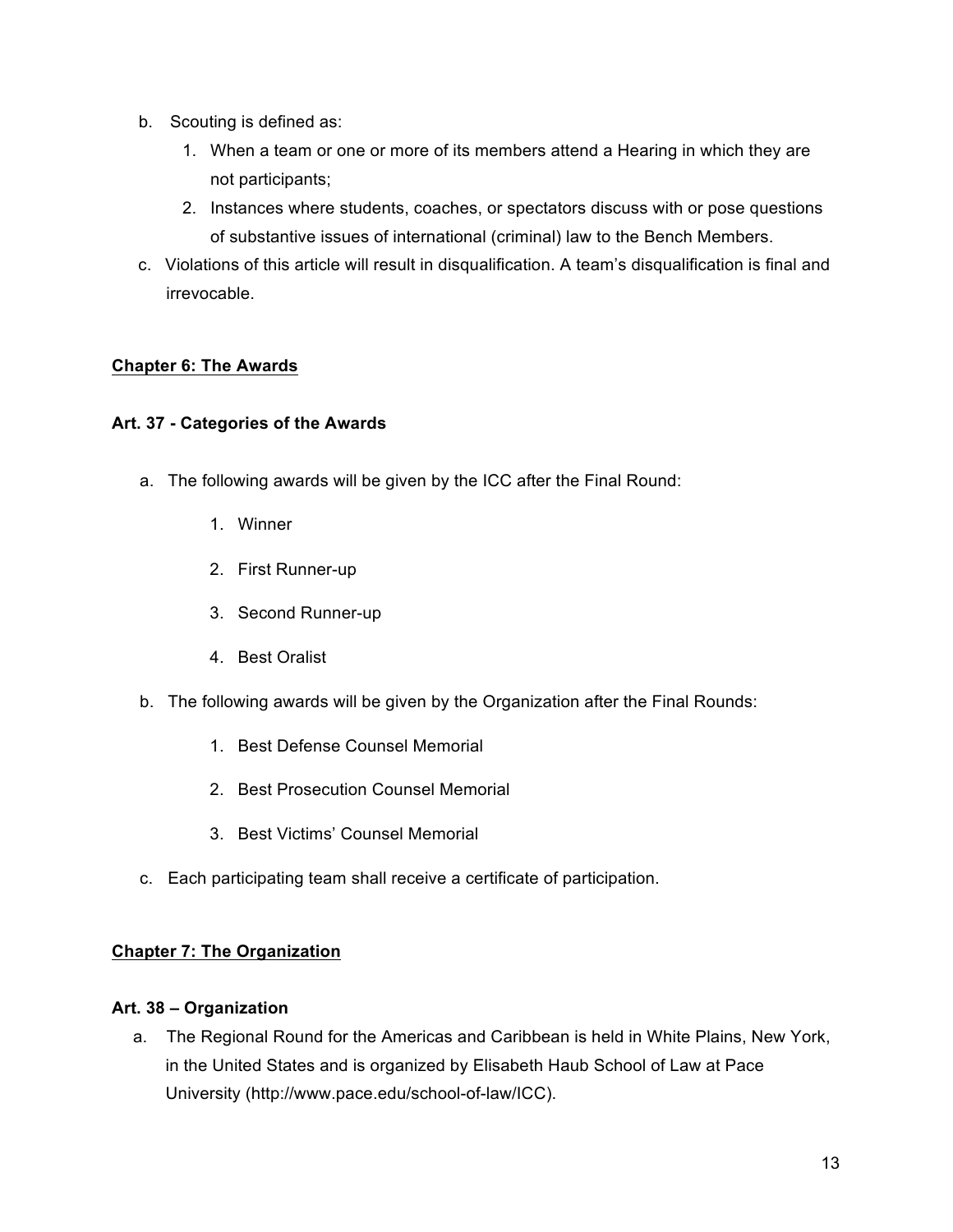- b. Scouting is defined as:
	- 1. When a team or one or more of its members attend a Hearing in which they are not participants;
	- 2. Instances where students, coaches, or spectators discuss with or pose questions of substantive issues of international (criminal) law to the Bench Members.
- c. Violations of this article will result in disqualification. A team's disqualification is final and irrevocable.

## **Chapter 6: The Awards**

#### **Art. 37 - Categories of the Awards**

- a. The following awards will be given by the ICC after the Final Round:
	- 1. Winner
	- 2. First Runner-up
	- 3. Second Runner-up
	- 4. Best Oralist
- b. The following awards will be given by the Organization after the Final Rounds:
	- 1. Best Defense Counsel Memorial
	- 2. Best Prosecution Counsel Memorial
	- 3. Best Victims' Counsel Memorial
- c. Each participating team shall receive a certificate of participation.

## **Chapter 7: The Organization**

#### **Art. 38 – Organization**

a. The Regional Round for the Americas and Caribbean is held in White Plains, New York, in the United States and is organized by Elisabeth Haub School of Law at Pace University (http://www.pace.edu/school-of-law/ICC).